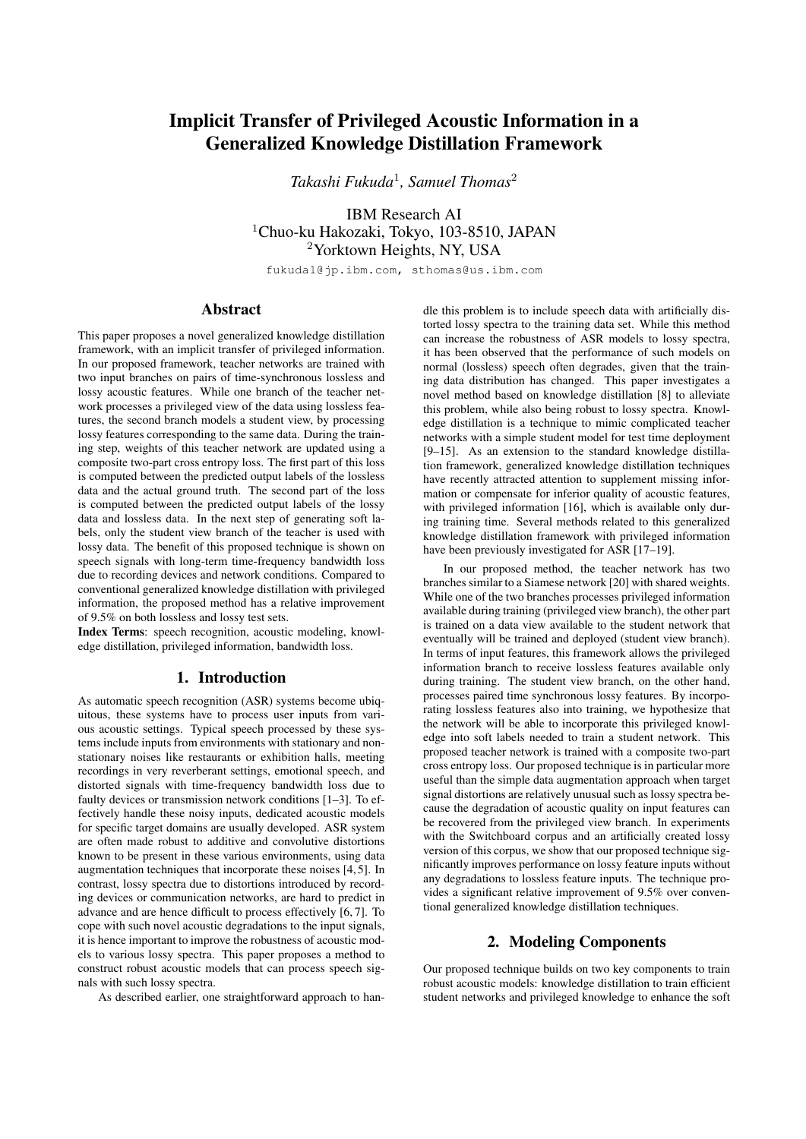# Implicit Transfer of Privileged Acoustic Information in a Generalized Knowledge Distillation Framework

*Takashi Fukuda*<sup>1</sup> *, Samuel Thomas*<sup>2</sup>

IBM Research AI <sup>1</sup>Chuo-ku Hakozaki, Tokyo, 103-8510, JAPAN <sup>2</sup>Yorktown Heights, NY, USA

fukuda1@jp.ibm.com, sthomas@us.ibm.com

# Abstract

This paper proposes a novel generalized knowledge distillation framework, with an implicit transfer of privileged information. In our proposed framework, teacher networks are trained with two input branches on pairs of time-synchronous lossless and lossy acoustic features. While one branch of the teacher network processes a privileged view of the data using lossless features, the second branch models a student view, by processing lossy features corresponding to the same data. During the training step, weights of this teacher network are updated using a composite two-part cross entropy loss. The first part of this loss is computed between the predicted output labels of the lossless data and the actual ground truth. The second part of the loss is computed between the predicted output labels of the lossy data and lossless data. In the next step of generating soft labels, only the student view branch of the teacher is used with lossy data. The benefit of this proposed technique is shown on speech signals with long-term time-frequency bandwidth loss due to recording devices and network conditions. Compared to conventional generalized knowledge distillation with privileged information, the proposed method has a relative improvement of 9.5% on both lossless and lossy test sets.

Index Terms: speech recognition, acoustic modeling, knowledge distillation, privileged information, bandwidth loss.

# 1. Introduction

As automatic speech recognition (ASR) systems become ubiquitous, these systems have to process user inputs from various acoustic settings. Typical speech processed by these systems include inputs from environments with stationary and nonstationary noises like restaurants or exhibition halls, meeting recordings in very reverberant settings, emotional speech, and distorted signals with time-frequency bandwidth loss due to faulty devices or transmission network conditions [1–3]. To effectively handle these noisy inputs, dedicated acoustic models for specific target domains are usually developed. ASR system are often made robust to additive and convolutive distortions known to be present in these various environments, using data augmentation techniques that incorporate these noises [4, 5]. In contrast, lossy spectra due to distortions introduced by recording devices or communication networks, are hard to predict in advance and are hence difficult to process effectively [6, 7]. To cope with such novel acoustic degradations to the input signals, it is hence important to improve the robustness of acoustic models to various lossy spectra. This paper proposes a method to construct robust acoustic models that can process speech signals with such lossy spectra.

As described earlier, one straightforward approach to han-

dle this problem is to include speech data with artificially distorted lossy spectra to the training data set. While this method can increase the robustness of ASR models to lossy spectra, it has been observed that the performance of such models on normal (lossless) speech often degrades, given that the training data distribution has changed. This paper investigates a novel method based on knowledge distillation [8] to alleviate this problem, while also being robust to lossy spectra. Knowledge distillation is a technique to mimic complicated teacher networks with a simple student model for test time deployment [9–15]. As an extension to the standard knowledge distillation framework, generalized knowledge distillation techniques have recently attracted attention to supplement missing information or compensate for inferior quality of acoustic features, with privileged information [16], which is available only during training time. Several methods related to this generalized knowledge distillation framework with privileged information have been previously investigated for ASR [17–19].

In our proposed method, the teacher network has two branches similar to a Siamese network [20] with shared weights. While one of the two branches processes privileged information available during training (privileged view branch), the other part is trained on a data view available to the student network that eventually will be trained and deployed (student view branch). In terms of input features, this framework allows the privileged information branch to receive lossless features available only during training. The student view branch, on the other hand, processes paired time synchronous lossy features. By incorporating lossless features also into training, we hypothesize that the network will be able to incorporate this privileged knowledge into soft labels needed to train a student network. This proposed teacher network is trained with a composite two-part cross entropy loss. Our proposed technique is in particular more useful than the simple data augmentation approach when target signal distortions are relatively unusual such as lossy spectra because the degradation of acoustic quality on input features can be recovered from the privileged view branch. In experiments with the Switchboard corpus and an artificially created lossy version of this corpus, we show that our proposed technique significantly improves performance on lossy feature inputs without any degradations to lossless feature inputs. The technique provides a significant relative improvement of 9.5% over conventional generalized knowledge distillation techniques.

# 2. Modeling Components

Our proposed technique builds on two key components to train robust acoustic models: knowledge distillation to train efficient student networks and privileged knowledge to enhance the soft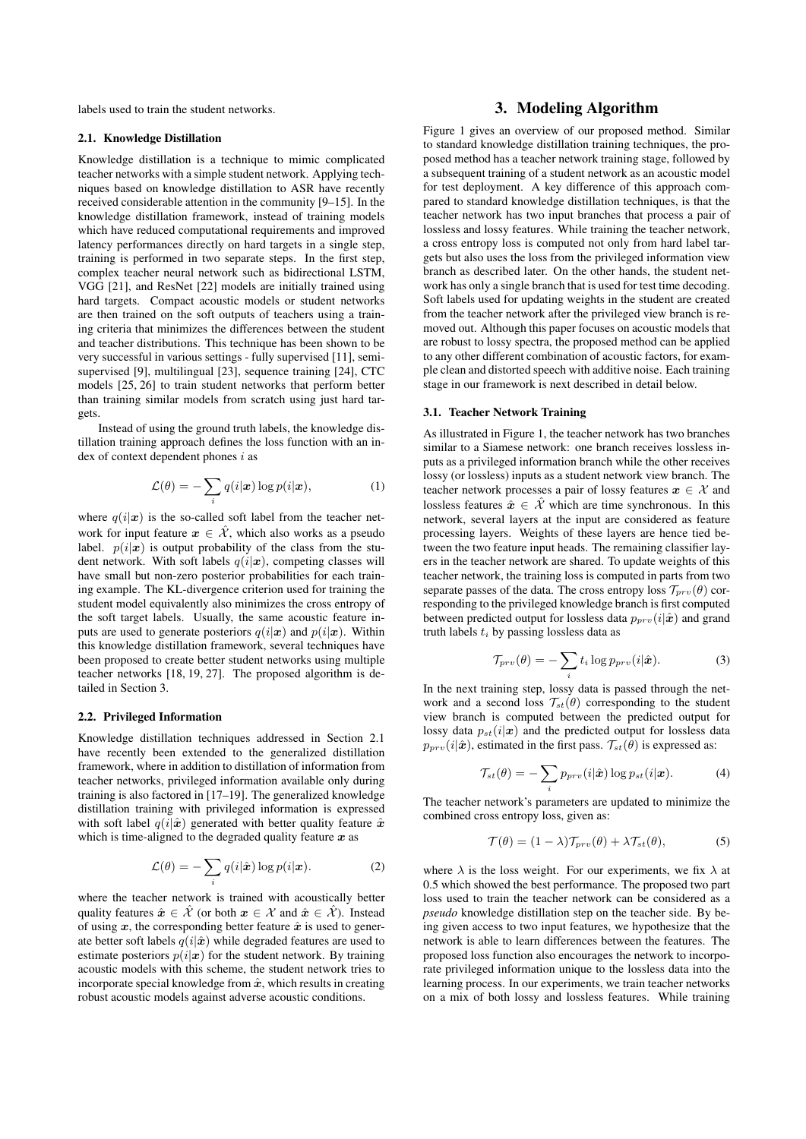labels used to train the student networks.

#### 2.1. Knowledge Distillation

Knowledge distillation is a technique to mimic complicated teacher networks with a simple student network. Applying techniques based on knowledge distillation to ASR have recently received considerable attention in the community [9–15]. In the knowledge distillation framework, instead of training models which have reduced computational requirements and improved latency performances directly on hard targets in a single step, training is performed in two separate steps. In the first step, complex teacher neural network such as bidirectional LSTM, VGG [21], and ResNet [22] models are initially trained using hard targets. Compact acoustic models or student networks are then trained on the soft outputs of teachers using a training criteria that minimizes the differences between the student and teacher distributions. This technique has been shown to be very successful in various settings - fully supervised [11], semisupervised [9], multilingual [23], sequence training [24], CTC models [25, 26] to train student networks that perform better than training similar models from scratch using just hard targets.

Instead of using the ground truth labels, the knowledge distillation training approach defines the loss function with an index of context dependent phones  $i$  as

$$
\mathcal{L}(\theta) = -\sum_{i} q(i|\boldsymbol{x}) \log p(i|\boldsymbol{x}), \qquad (1)
$$

where  $q(i|\mathbf{x})$  is the so-called soft label from the teacher network for input feature  $x \in \mathcal{X}$ , which also works as a pseudo label.  $p(i|\mathbf{x})$  is output probability of the class from the student network. With soft labels  $q(i|\mathbf{x})$ , competing classes will have small but non-zero posterior probabilities for each training example. The KL-divergence criterion used for training the student model equivalently also minimizes the cross entropy of the soft target labels. Usually, the same acoustic feature inputs are used to generate posteriors  $q(i|\boldsymbol{x})$  and  $p(i|\boldsymbol{x})$ . Within this knowledge distillation framework, several techniques have been proposed to create better student networks using multiple teacher networks [18, 19, 27]. The proposed algorithm is detailed in Section 3.

#### 2.2. Privileged Information

Knowledge distillation techniques addressed in Section 2.1 have recently been extended to the generalized distillation framework, where in addition to distillation of information from teacher networks, privileged information available only during training is also factored in [17–19]. The generalized knowledge distillation training with privileged information is expressed with soft label  $q(i|\hat{x})$  generated with better quality feature  $\hat{x}$ which is time-aligned to the degraded quality feature  $x$  as

$$
\mathcal{L}(\theta) = -\sum_{i} q(i|\hat{\boldsymbol{x}}) \log p(i|\boldsymbol{x}). \tag{2}
$$

where the teacher network is trained with acoustically better quality features  $\hat{x} \in \hat{\mathcal{X}}$  (or both  $x \in \hat{\mathcal{X}}$  and  $\hat{x} \in \hat{\mathcal{X}}$ ). Instead of using x, the corresponding better feature  $\hat{x}$  is used to generate better soft labels  $q(i|\hat{x})$  while degraded features are used to estimate posteriors  $p(i|\mathbf{x})$  for the student network. By training acoustic models with this scheme, the student network tries to incorporate special knowledge from  $\hat{x}$ , which results in creating robust acoustic models against adverse acoustic conditions.

# 3. Modeling Algorithm

Figure 1 gives an overview of our proposed method. Similar to standard knowledge distillation training techniques, the proposed method has a teacher network training stage, followed by a subsequent training of a student network as an acoustic model for test deployment. A key difference of this approach compared to standard knowledge distillation techniques, is that the teacher network has two input branches that process a pair of lossless and lossy features. While training the teacher network, a cross entropy loss is computed not only from hard label targets but also uses the loss from the privileged information view branch as described later. On the other hands, the student network has only a single branch that is used for test time decoding. Soft labels used for updating weights in the student are created from the teacher network after the privileged view branch is removed out. Although this paper focuses on acoustic models that are robust to lossy spectra, the proposed method can be applied to any other different combination of acoustic factors, for example clean and distorted speech with additive noise. Each training stage in our framework is next described in detail below.

#### 3.1. Teacher Network Training

As illustrated in Figure 1, the teacher network has two branches similar to a Siamese network: one branch receives lossless inputs as a privileged information branch while the other receives lossy (or lossless) inputs as a student network view branch. The teacher network processes a pair of lossy features  $x \in \mathcal{X}$  and lossless features  $\hat{x} \in \hat{\mathcal{X}}$  which are time synchronous. In this network, several layers at the input are considered as feature processing layers. Weights of these layers are hence tied between the two feature input heads. The remaining classifier layers in the teacher network are shared. To update weights of this teacher network, the training loss is computed in parts from two separate passes of the data. The cross entropy loss  $\mathcal{T}_{prv}(\theta)$  corresponding to the privileged knowledge branch is first computed between predicted output for lossless data  $p_{prv}(i|\hat{x})$  and grand truth labels  $t_i$  by passing lossless data as

$$
\mathcal{T}_{prv}(\theta) = -\sum_{i} t_i \log p_{prv}(i|\hat{\boldsymbol{x}}). \tag{3}
$$

In the next training step, lossy data is passed through the network and a second loss  $\mathcal{T}_{st}(\theta)$  corresponding to the student view branch is computed between the predicted output for lossy data  $p_{st}(i|\boldsymbol{x})$  and the predicted output for lossless data  $p_{prv}(i|\hat{x})$ , estimated in the first pass.  $\mathcal{T}_{st}(\theta)$  is expressed as:

$$
\mathcal{T}_{st}(\theta) = -\sum_{i} p_{prv}(i|\hat{\boldsymbol{x}}) \log p_{st}(i|\boldsymbol{x}). \tag{4}
$$

The teacher network's parameters are updated to minimize the combined cross entropy loss, given as:

$$
\mathcal{T}(\theta) = (1 - \lambda) \mathcal{T}_{prv}(\theta) + \lambda \mathcal{T}_{st}(\theta), \tag{5}
$$

where  $\lambda$  is the loss weight. For our experiments, we fix  $\lambda$  at 0.5 which showed the best performance. The proposed two part loss used to train the teacher network can be considered as a *pseudo* knowledge distillation step on the teacher side. By being given access to two input features, we hypothesize that the network is able to learn differences between the features. The proposed loss function also encourages the network to incorporate privileged information unique to the lossless data into the learning process. In our experiments, we train teacher networks on a mix of both lossy and lossless features. While training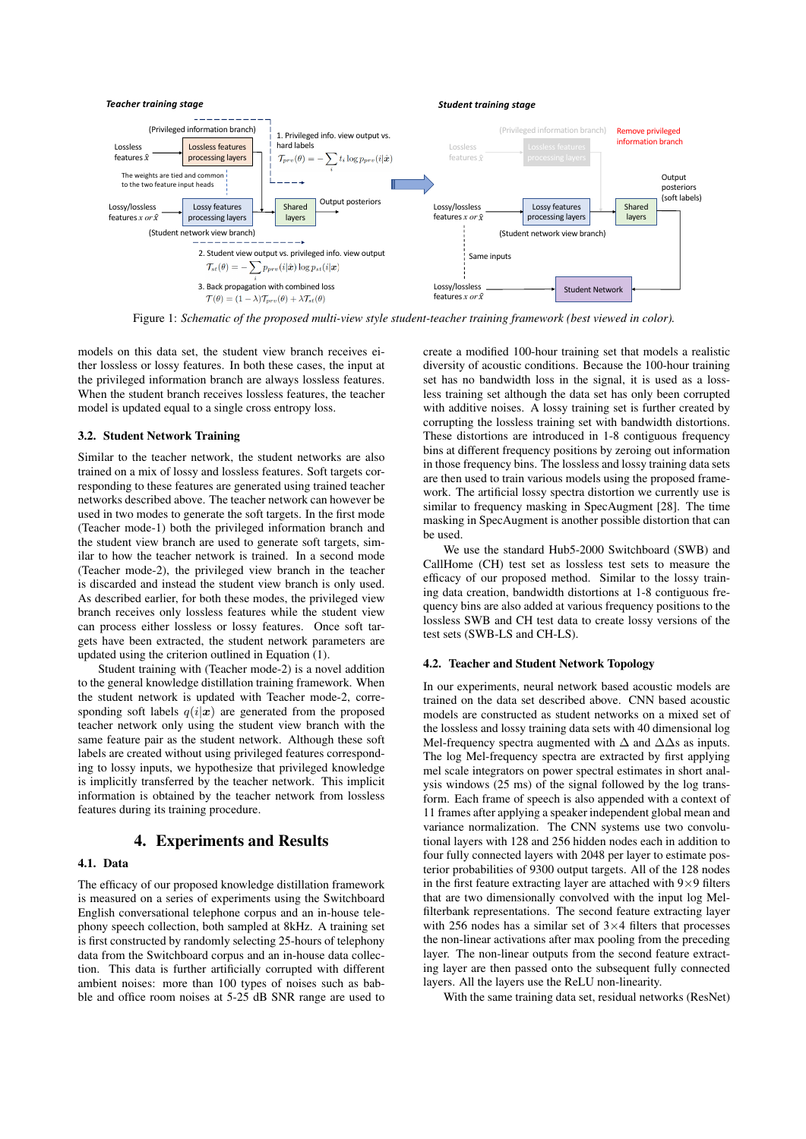

Figure 1: *Schematic of the proposed multi-view style student-teacher training framework (best viewed in color).*

models on this data set, the student view branch receives either lossless or lossy features. In both these cases, the input at the privileged information branch are always lossless features. When the student branch receives lossless features, the teacher model is updated equal to a single cross entropy loss.

## 3.2. Student Network Training

Similar to the teacher network, the student networks are also trained on a mix of lossy and lossless features. Soft targets corresponding to these features are generated using trained teacher networks described above. The teacher network can however be used in two modes to generate the soft targets. In the first mode (Teacher mode-1) both the privileged information branch and the student view branch are used to generate soft targets, similar to how the teacher network is trained. In a second mode (Teacher mode-2), the privileged view branch in the teacher is discarded and instead the student view branch is only used. As described earlier, for both these modes, the privileged view branch receives only lossless features while the student view can process either lossless or lossy features. Once soft targets have been extracted, the student network parameters are updated using the criterion outlined in Equation (1).

Student training with (Teacher mode-2) is a novel addition to the general knowledge distillation training framework. When the student network is updated with Teacher mode-2, corresponding soft labels  $q(i|x)$  are generated from the proposed teacher network only using the student view branch with the same feature pair as the student network. Although these soft labels are created without using privileged features corresponding to lossy inputs, we hypothesize that privileged knowledge is implicitly transferred by the teacher network. This implicit information is obtained by the teacher network from lossless features during its training procedure.

#### 4. Experiments and Results

## 4.1. Data

The efficacy of our proposed knowledge distillation framework is measured on a series of experiments using the Switchboard English conversational telephone corpus and an in-house telephony speech collection, both sampled at 8kHz. A training set is first constructed by randomly selecting 25-hours of telephony data from the Switchboard corpus and an in-house data collection. This data is further artificially corrupted with different ambient noises: more than 100 types of noises such as babble and office room noises at 5-25 dB SNR range are used to create a modified 100-hour training set that models a realistic diversity of acoustic conditions. Because the 100-hour training set has no bandwidth loss in the signal, it is used as a lossless training set although the data set has only been corrupted with additive noises. A lossy training set is further created by corrupting the lossless training set with bandwidth distortions. These distortions are introduced in 1-8 contiguous frequency bins at different frequency positions by zeroing out information in those frequency bins. The lossless and lossy training data sets are then used to train various models using the proposed framework. The artificial lossy spectra distortion we currently use is similar to frequency masking in SpecAugment [28]. The time masking in SpecAugment is another possible distortion that can be used.

We use the standard Hub5-2000 Switchboard (SWB) and CallHome (CH) test set as lossless test sets to measure the efficacy of our proposed method. Similar to the lossy training data creation, bandwidth distortions at 1-8 contiguous frequency bins are also added at various frequency positions to the lossless SWB and CH test data to create lossy versions of the test sets (SWB-LS and CH-LS).

#### 4.2. Teacher and Student Network Topology

In our experiments, neural network based acoustic models are trained on the data set described above. CNN based acoustic models are constructed as student networks on a mixed set of the lossless and lossy training data sets with 40 dimensional log Mel-frequency spectra augmented with  $\Delta$  and  $\Delta\Delta$ s as inputs. The log Mel-frequency spectra are extracted by first applying mel scale integrators on power spectral estimates in short analysis windows (25 ms) of the signal followed by the log transform. Each frame of speech is also appended with a context of 11 frames after applying a speaker independent global mean and variance normalization. The CNN systems use two convolutional layers with 128 and 256 hidden nodes each in addition to four fully connected layers with 2048 per layer to estimate posterior probabilities of 9300 output targets. All of the 128 nodes in the first feature extracting layer are attached with  $9 \times 9$  filters that are two dimensionally convolved with the input log Melfilterbank representations. The second feature extracting layer with 256 nodes has a similar set of  $3\times4$  filters that processes the non-linear activations after max pooling from the preceding layer. The non-linear outputs from the second feature extracting layer are then passed onto the subsequent fully connected layers. All the layers use the ReLU non-linearity.

With the same training data set, residual networks (ResNet)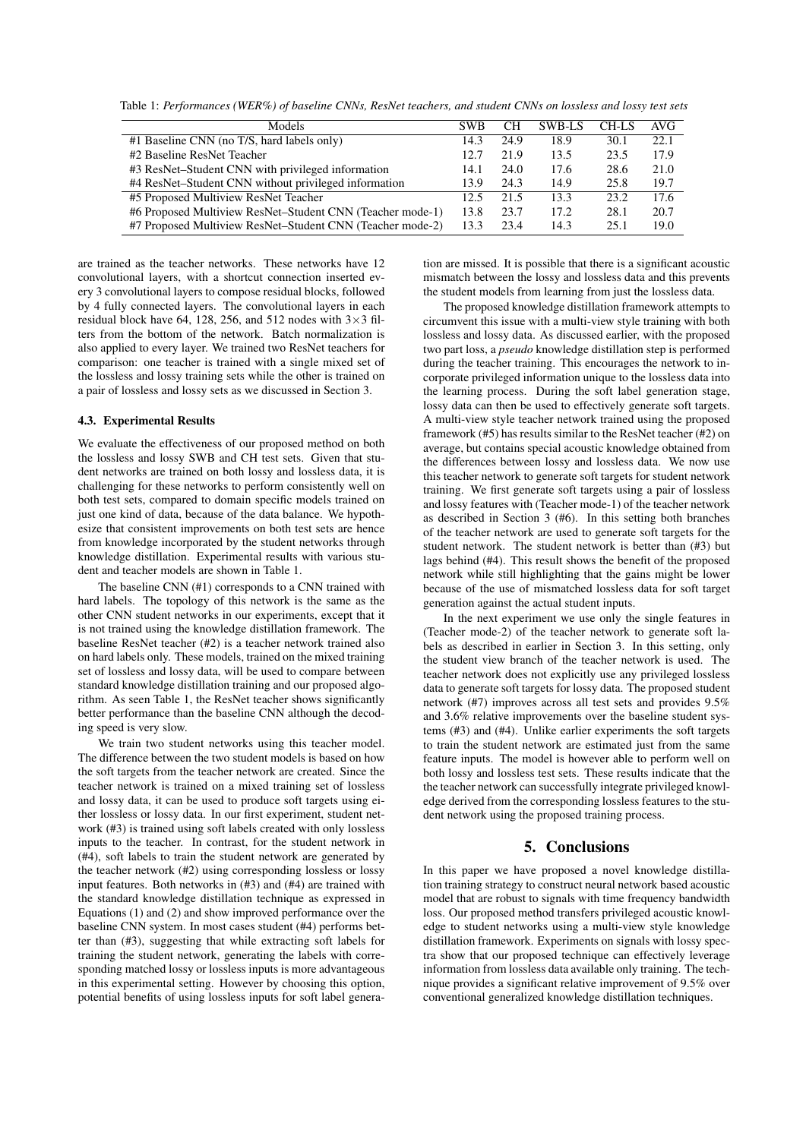Table 1: *Performances (WER%) of baseline CNNs, ResNet teachers, and student CNNs on lossless and lossy test sets*

| Models                                                    | <b>SWB</b> | CН   | SWB-LS | CH-LS | AVG. |
|-----------------------------------------------------------|------------|------|--------|-------|------|
| #1 Baseline CNN (no T/S, hard labels only)                | 14.3       | 24.9 | 18.9   | 30.1  | 22.1 |
| #2 Baseline ResNet Teacher                                | 12.7       | 21.9 | 13.5   | 23.5  | 17.9 |
| #3 ResNet–Student CNN with privileged information         | 14.1       | 24.0 | 17.6   | 28.6  | 21.0 |
| #4 ResNet-Student CNN without privileged information      | 13.9       | 24.3 | 14.9   | 25.8  | 19.7 |
| #5 Proposed Multiview ResNet Teacher                      | 12.5       | 21.5 | 13.3   | 23.2  | 17.6 |
| #6 Proposed Multiview ResNet–Student CNN (Teacher mode-1) | 13.8       | 23.7 | 17.2   | 28.1  | 20.7 |
| #7 Proposed Multiview ResNet–Student CNN (Teacher mode-2) | 13.3       | 23.4 | 14.3   | 25.1  | 19.0 |

are trained as the teacher networks. These networks have 12 convolutional layers, with a shortcut connection inserted every 3 convolutional layers to compose residual blocks, followed by 4 fully connected layers. The convolutional layers in each residual block have 64, 128, 256, and 512 nodes with  $3 \times 3$  filters from the bottom of the network. Batch normalization is also applied to every layer. We trained two ResNet teachers for comparison: one teacher is trained with a single mixed set of the lossless and lossy training sets while the other is trained on a pair of lossless and lossy sets as we discussed in Section 3.

#### 4.3. Experimental Results

We evaluate the effectiveness of our proposed method on both the lossless and lossy SWB and CH test sets. Given that student networks are trained on both lossy and lossless data, it is challenging for these networks to perform consistently well on both test sets, compared to domain specific models trained on just one kind of data, because of the data balance. We hypothesize that consistent improvements on both test sets are hence from knowledge incorporated by the student networks through knowledge distillation. Experimental results with various student and teacher models are shown in Table 1.

The baseline CNN (#1) corresponds to a CNN trained with hard labels. The topology of this network is the same as the other CNN student networks in our experiments, except that it is not trained using the knowledge distillation framework. The baseline ResNet teacher (#2) is a teacher network trained also on hard labels only. These models, trained on the mixed training set of lossless and lossy data, will be used to compare between standard knowledge distillation training and our proposed algorithm. As seen Table 1, the ResNet teacher shows significantly better performance than the baseline CNN although the decoding speed is very slow.

We train two student networks using this teacher model. The difference between the two student models is based on how the soft targets from the teacher network are created. Since the teacher network is trained on a mixed training set of lossless and lossy data, it can be used to produce soft targets using either lossless or lossy data. In our first experiment, student network (#3) is trained using soft labels created with only lossless inputs to the teacher. In contrast, for the student network in (#4), soft labels to train the student network are generated by the teacher network (#2) using corresponding lossless or lossy input features. Both networks in (#3) and (#4) are trained with the standard knowledge distillation technique as expressed in Equations (1) and (2) and show improved performance over the baseline CNN system. In most cases student (#4) performs better than (#3), suggesting that while extracting soft labels for training the student network, generating the labels with corresponding matched lossy or lossless inputs is more advantageous in this experimental setting. However by choosing this option, potential benefits of using lossless inputs for soft label generation are missed. It is possible that there is a significant acoustic mismatch between the lossy and lossless data and this prevents the student models from learning from just the lossless data.

The proposed knowledge distillation framework attempts to circumvent this issue with a multi-view style training with both lossless and lossy data. As discussed earlier, with the proposed two part loss, a *pseudo* knowledge distillation step is performed during the teacher training. This encourages the network to incorporate privileged information unique to the lossless data into the learning process. During the soft label generation stage, lossy data can then be used to effectively generate soft targets. A multi-view style teacher network trained using the proposed framework (#5) has results similar to the ResNet teacher (#2) on average, but contains special acoustic knowledge obtained from the differences between lossy and lossless data. We now use this teacher network to generate soft targets for student network training. We first generate soft targets using a pair of lossless and lossy features with (Teacher mode-1) of the teacher network as described in Section 3 (#6). In this setting both branches of the teacher network are used to generate soft targets for the student network. The student network is better than (#3) but lags behind (#4). This result shows the benefit of the proposed network while still highlighting that the gains might be lower because of the use of mismatched lossless data for soft target generation against the actual student inputs.

In the next experiment we use only the single features in (Teacher mode-2) of the teacher network to generate soft labels as described in earlier in Section 3. In this setting, only the student view branch of the teacher network is used. The teacher network does not explicitly use any privileged lossless data to generate soft targets for lossy data. The proposed student network (#7) improves across all test sets and provides 9.5% and 3.6% relative improvements over the baseline student systems (#3) and (#4). Unlike earlier experiments the soft targets to train the student network are estimated just from the same feature inputs. The model is however able to perform well on both lossy and lossless test sets. These results indicate that the the teacher network can successfully integrate privileged knowledge derived from the corresponding lossless features to the student network using the proposed training process.

# 5. Conclusions

In this paper we have proposed a novel knowledge distillation training strategy to construct neural network based acoustic model that are robust to signals with time frequency bandwidth loss. Our proposed method transfers privileged acoustic knowledge to student networks using a multi-view style knowledge distillation framework. Experiments on signals with lossy spectra show that our proposed technique can effectively leverage information from lossless data available only training. The technique provides a significant relative improvement of 9.5% over conventional generalized knowledge distillation techniques.